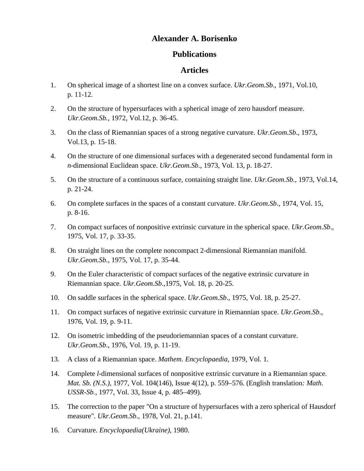## **Alexander A. Borisenko**

## **Publications**

# **Articles**

- 1. On spherical image of a shortest line on a convex surface. *Ukr.Geom.Sb*., 1971, Vol.10, p. 11-12.
- 2. On the structure of hypersurfaces with a spherical image of zero hausdorf measure. *Ukr.Geom.Sb.,* 1972, Vol.12, p. 36-45.
- 3. On the class of Riemannian spaces of a strong negative curvature. *Ukr.Geom.Sb*., 1973, Vol.13, p. 15-18.
- 4. On the structure of one dimensional surfaces with a degenerated second fundamental form in *n*-dimensional Euclidean space. *Ukr.Geom.Sb*., 1973, Vol. 13, p. 18-27.
- 5. On the structure of a continuous surface, containing straight line. *Ukr.Geom.Sb.,* 1973, Vol.14, p. 21-24.
- 6. On complete surfaces in the spaces of a constant curvature. *Ukr.Geom.Sb*., 1974, Vol. 15, p. 8-16.
- 7. On compact surfaces of nonpositive extrinsic curvature in the spherical space. *Ukr.Geom.Sb*., 1975, Vol. 17, p. 33-35.
- 8. On straight lines on the complete noncompact 2-dimensional Riemannian manifold. *Ukr.Geom.Sb.*, 1975, Vol. 17, p. 35-44.
- 9. On the Euler characteristic of compact surfaces of the negative extrinsic curvature in Riemannian space. *Ukr.Geom.Sb*.,1975, Vol. 18, p. 20-25.
- 10. On saddle surfaces in the spherical space. *Ukr.Geom.Sb*., 1975, Vol. 18, p. 25-27.
- 11. On compact surfaces of negative extrinsic curvature in Riemannian space. *Ukr.Geom.Sb*., 1976, Vol. 19, p. 9-11.
- 12. On isometric imbedding of the pseudoriemannian spaces of a constant curvature. *Ukr.Geom.Sb*., 1976, Vol. 19, p. 11-19.
- 13. A class of a Riemannian space. *Mathem. Encyclopaedia*, 1979, Vol. 1.
- 14. Complete *l*-dimensional surfaces of nonpositive extrinsic curvature in a Riemannian space. *Mat. Sb. (N.S.)*, 1977, Vol. 104(146), Issue 4(12), p. 559–576. (English translation*: Math. USSR-Sb.*, 1977, Vol. 33, Issue 4, p. 485–499).
- 15. The correction to the paper "On a structure of hypersurfaces with a zero spherical of Hausdorf measure". *Ukr.Geom.Sb*., 1978, Vol. 21, p.141.
- 16. Curvature. *Encyclopaedia(Ukraine)*, 1980.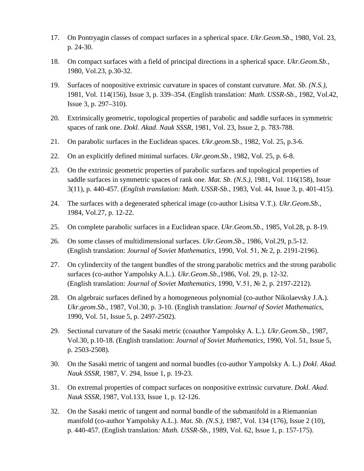- 17. On Pontryagin classes of compact surfaces in a spherical space. *Ukr.Geom.Sb*., 1980, Vol. 23, p. 24-30.
- 18. On compact surfaces with a field of principal directions in a spherical space. *Ukr.Geom.Sb.,* 1980, Vol.23, p.30-32.
- 19. Surfaces of nonpositive extrinsic curvature in spaces of constant curvature. *Mat. Sb. (N.S.)*, 1981, Vol. 114(156), Issue 3, p. 339–354. (English translation: *Math. USSR-Sb.*, 1982, Vol.42, Issue 3, p. 297–310).
- 20. Extrinsically geometric, topological properties of parabolic and saddle surfaces in symmetric spaces of rank one. *Dokl. Akad. Nauk SSSR*, 1981, Vol. 23, Issue 2, p. 783-788.
- 21. On parabolic surfaces in the Euclidean spaces. *Ukr.geom.Sb*., 1982, Vol. 25, p.3-6.
- 22. On an explicitly defined minimal surfaces. *Ukr.geom.Sb.,* 1982, Vol. 25, p. 6-8.
- 23. On the extrinsic geometric properties of parabolic surfaces and topological properties of saddle surfaces in symmetric spaces of rank one. *Mat. Sb. (N.S.)*, 1981, Vol. 116(158), Issue 3(11), p. 440-457. (*English translation: Math. USSR-Sb.*, 1983, Vol. 44, Issue 3, p. 401-415).
- 24. The surfaces with a degenerated spherical image (co-author Lisitsa V.T.). *Ukr.Geom.Sb*., 1984, Vol.27, p. 12-22.
- 25. On complete parabolic surfaces in a Euclidean space. *Ukr.Geom.Sb*., 1985, Vol.28, p. 8-19.
- 26. On some classes of multidimensional surfaces. *Ukr.Geom.Sb*., 1986, Vol.29, p.5-12. (English translation: *Journal of Soviet Mathematics*, 1990, Vol. 51, № 2, p. 2191-2196).
- 27. On cylindercity of the tangent bundles of the strong parabolic metrics and the strong parabolic surfaces (co-author Yampolsky A.L.). *Ukr.Geom.Sb*.,1986, Vol. 29, p. 12-32. (English translation: *Journal of Soviet Mathematics*, 1990, V.51, № 2, p. 2197-2212).
- 28. On algebraic surfaces defined by a homogeneous polynomial (co-author Nikolaevsky J.A.). *Ukr.geom.Sb.,* 1987, Vol.30, p. 3-10. (English translation: *Journal of Soviet Mathematics,* 1990, Vol. 51, Issue 5, p. 2497-2502).
- 29. Sectional curvature of the Sasaki metric (coauthor Yampolsky A. L.). *Ukr.Geom.Sb*., 1987, Vol.30, p.10-18. (English translation: *Journal of Soviet Mathematics*, 1990, Vol. 51, Issue 5, p. 2503-2508).
- 30. On the Sasaki metric of tangent and normal bundles (co-author Yampolsky A. L.) *Dokl. Akad. Nauk SSSR*, 1987, V. 294, Issue 1, p. 19-23.
- 31. On extremal properties of compact surfaces on nonpositive extrinsic curvature. *Dokl. Akad. Nauk SSSR*, 1987, Vol.133, Issue 1, p. 12-126.
- 32. On the Sasaki metric of tangent and normal bundle of the submanifold in a Riemannian manifold (co-author Yampolsky A.L.). *Mat. Sb. (N.S.)*, 1987, Vol. 134 (176), Issue 2 (10), p. 440-457. (English translation*: Math. USSR-Sb.*, 1989, Vol. 62, Issue 1, p. 157-175).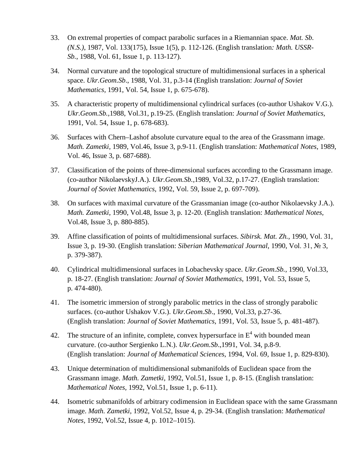- 33. On extremal properties of compact parabolic surfaces in a Riemannian space. *Mat. Sb. (N.S.)*, 1987, Vol. 133(175), Issue 1(5), p. 112-126. (English translation*: Math. USSR-Sb.*, 1988, Vol. 61, Issue 1, p. 113-127).
- 34. Normal curvature and the topological structure of multidimensional surfaces in a spherical space. *Ukr.Geom.Sb*., 1988, Vol. 31, p.3-14 (English translation: *Journal of Soviet Mathematics,* 1991, Vol. 54, Issue 1, p. 675-678).
- 35. A characteristic property of multidimensional cylindrical surfaces (co-author Ushakov V.G.). *Ukr.Geom.Sb.,*1988, Vol.31, p.19-25. (English translation: *Journal of Soviet Mathematics,* 1991, Vol. 54, Issue 1, p. 678-683).
- 36. Surfaces with Chern–Lashof absolute curvature equal to the area of the Grassmann image. *Math. Zametki,* 1989, Vol.46, Issue 3, p.9-11. (English translation: *Mathematical Notes*, 1989, Vol. 46, Issue 3, p. 687-688).
- 37. Classification of the points of three-dimensional surfaces according to the Grassmann image. (co-author NikolaevskyJ.A.). *Ukr.Geom.Sb.,*1989, Vol.32, p.17-27. (English translation: *Journal of Soviet Mathematics*, 1992, Vol. 59, Issue 2, p. 697-709).
- 38. On surfaces with maximal curvature of the Grassmanian image (co-author Nikolaevsky J.A.). *Math. Zametki*, 1990, Vol.48, Issue 3, p. 12-20. (English translation: *Mathematical Notes,* Vol.48, Issue 3, p. 880-885).
- 39. Affine classification of points of multidimensional surfaces. *Sibirsk. Mat. Zh.*, 1990, Vol. 31, Issue 3, p. 19-30. (English translation: *Siberian Mathematical Journal*, 1990, Vol. 31, № 3, p. 379-387).
- 40. Cylindrical multidimensional surfaces in Lobachevsky space. *Ukr.Geom.Sb.,* 1990, Vol.33, p. 18-27. (English translation: *Journal of Soviet Mathematics*, 1991, Vol. 53, Issue 5, p. 474-480).
- 41. The isometric immersion of strongly parabolic metrics in the class of strongly parabolic surfaces. (co-author Ushakov V.G.). *Ukr.Geom.Sb*., 1990, Vol.33, p.27-36. (English translation: *Journal of Soviet Mathematics*, 1991, Vol. 53, Issue 5, p. 481-487).
- 42. The structure of an infinite, complete, convex hypersurface in  $E<sup>4</sup>$  with bounded mean curvature. (co-author Sergienko L.N.). *Ukr.Geom.Sb*.,1991, Vol. 34, p.8-9. (English translation: *Journal of Mathematical Sciences*, 1994, Vol. 69, Issue 1, p. 829-830).
- 43. Unique determination of multidimensional submanifolds of Euclidean space from the Grassmann image. *Math. Zametki*, 1992, Vol.51, Issue 1, p. 8-15. (English translation: *Mathematical Notes,* 1992, Vol.51, Issue 1, p. 6-11).
- 44. Isometric submanifolds of arbitrary codimension in Euclidean space with the same Grassmann image. *Math. Zametki*, 1992, Vol.52, Issue 4, p. 29-34. (English translation: *Mathematical Notes,* 1992, Vol.52, Issue 4, p. 1012–1015).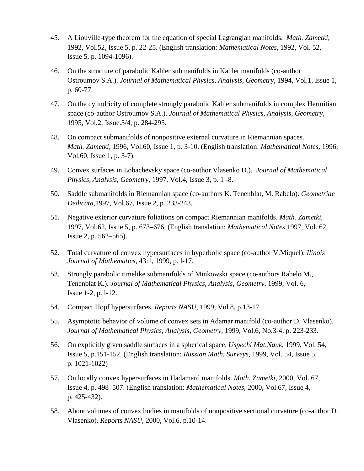- 45. A Liouville-type theorem for the equation of special Lagrangian manifolds. *Math. Zametki*, 1992, Vol.52, Issue 5, p. 22-25. (English translation: *Mathematical Notes,* 1992, Vol. 52, Issue 5, p. 1094-1096).
- 46. On the structure of parabolic Kahler submanifolds in Kahler manifolds (co-author Ostroumov S.A.). *Journal of Mathematical Physics, Analysis, Geometry,* 1994, Vol.1, Issue 1, p. 60-77.
- 47. On the cylindricity of complete strongly parabolic Kahler submanifolds in complex Hermitian space (co-author Ostroumov S.A.). *Journal of Mathematical Physics, Analysis, Geometry*, 1995, Vol.2, Issue.3/4, p. 284-295.
- 48. On compact submanifolds of nonpositive external curvature in Riemannian spaces. *Math. Zametki*, 1996, Vol.60, Issue 1, p. 3-10. (English translation: *Mathematical Notes,* 1996, Vol.60, Issue 1, p. 3-7).
- 49. Convex surfaces in Lobachevsky space (co-author Vlasenko D.). *Journal of Mathematical Physics, Analysis, Geometry,* 1997, Vol.4, Issue 3, p. 1 -8.
- 50. Saddle submanifolds in Riemannian space (co-authors K. Tenenblat, M. Rabelo). *Geometriae Dedicata*,1997, Vol.67, Issue 2, p. 233-243.
- 51. Negative exterior curvature foliations on compact Riemannian manifolds. *Math. Zametki*, 1997, Vol.62, Issue 5, p. 673–676. (English translation: *Mathematical Notes,*1997*,* Vol. 62, Issue 2, p. 562–565).
- 52. Total curvature of convex hypersurfaces in hyperbolic space (co-author V.Miquel). *Ilinois Journal of Mathematics*, 43:1, 1999, p. l-17.
- 53. Strongly parabolic timelike submanifolds of Minkowski space (co-authors Rabelo M., Tenenblat K.). *Journal of Mathematical Physics, Analysis, Geometry*, 1999, Vol. 6, Issue 1-2, p. l-12.
- 54. Compact Hopf hypersurfaces. *Reports NASU*, 1999, Vol.8, p.13-17.
- 55. Asymptotic behavior of volume of convex sets in Adamar manifold (co-author D. Vlasenko). *Journal of Mathematical Physics, Analysis, Geometry*, 1999, Vol.6, No.3-4, p. 223-233.
- 56. On explicitly given saddle surfaces in a spherical space. *Uspechi Mat.Nauk*, 1999, Vol. 54, Issue 5, p.151-152. (English translation: *Russian Math. Surveys,* 1999, Vol. 54, Issue 5, p. 1021-1022)
- 57. On locally convex hypersurfaces in Hadamard manifolds. *Math. Zametki*, 2000, Vol. 67, Issue 4, p. 498–507. (English translation: *Mathematical Notes,* 2000*,* Vol.67, Issue 4, p. 425-432).
- 58. About volumes of convex bodies in manifolds of nonpositive sectional curvature (co-author D. Vlasenko). *Reports NASU*, 2000, Vol.6, p.10-14.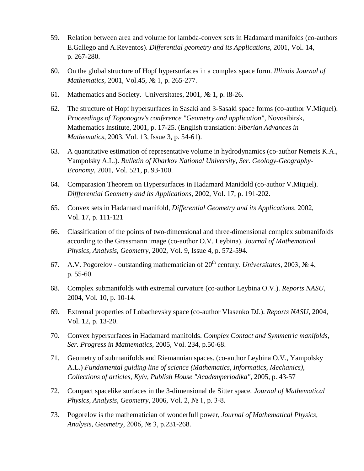- 59. Relation between area and volume for lambda-convex sets in Hadamard manifolds (co-authors E.Gallego and A.Reventos). *Differential geometry and its Applications,* 2001, Vol. 14, p. 267-280.
- 60. On the global structure of Hopf hypersurfaces in a complex space form. *Illinois Journal of Mathematics,* 2001, Vol.45, № 1, p. 265-277.
- 61. Mathematics and Society. Universitates, 2001, № 1, p. l8-26.
- 62. The structure of Hopf hypersurfaces in Sasaki and 3-Sasaki space forms (co-author V.Miquel). *Proceedings of Toponogov's conference "Geometry and application",* Novosibirsk, Mathematics Institute, 2001, p. 17-25. (English translation: *Siberian Advances in Mathematics*, 2003, Vol. 13, Issue 3, p. 54-61).
- 63. A quantitative estimation of representative volume in hydrodynamics (co-author Nemets K.A., Yampolsky A.L.). *Bulletin of Kharkov National University, Ser. Geology-Geography-Economy,* 2001, Vol. 521, p. 93-100.
- 64. Comparasion Theorem on Hypersurfaces in Hadamard Manidold (co-author V.Miquel). *Diffferential Geometry and its Applications*, 2002, Vol. 17, p. 191-202.
- 65. Convex sets in Hadamard manifold, *Differential Geometry and its Applications*, 2002, Vol. 17, p. 111-121
- 66. Classification of the points of two-dimensional and three-dimensional complex submanifolds according to the Grassmann image (co-author O.V. Leybina). *Journal of Mathematical Physics, Analysis, Geometry,* 2002, Vol. 9, Issue 4, p. 572-594.
- 67. A.V. Pogorelov outstanding mathematician of  $20^{th}$  century. *Universitates*, 2003, No 4, p. 55-60.
- 68. Complex submanifolds with extremal curvature (co-author Leybina O.V.). *Reports NASU*, 2004, Vol. 10, p. 10-14.
- 69. Extremal properties of Lobachevsky space (co-author Vlasenko DJ.). *Reports NASU*, 2004, Vol. 12, p. 13-20.
- 70. Convex hypersurfaces in Hadamard manifolds. *Complex Contact and Symmetric manifolds, Ser. Progress in Mathematics*, 2005, Vol. 234, p.50-68.
- 71. Geometry of submanifolds and Riemannian spaces. (co-author Leybina O.V., Yampolsky A.L.) *Fundamental guiding line of science (Mathematics, Informatics, Mechanics), Collections of articles, Kyiv, Publish House "Academperiodika"*, 2005, p. 43-57
- 72. Compact spacelike surfaces in the 3-dimensional de Sitter space*. Journal of Mathematical Physics, Analysis, Geometry*, 2006, Vol. 2, № 1, p. 3-8.
- 73. Pogorelov is the mathematician of wonderfull power, *Journal of Mathematical Physics, Analysis, Geometry,* 2006, № 3, p.231-268.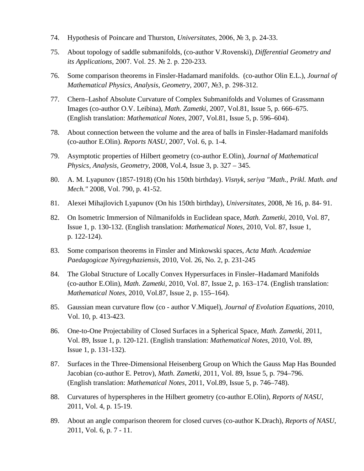- 74. Hypothesis of Poincare and Thurston, *Universitates*, 2006, № 3, p. 24-33.
- 75. About topology of saddle submanifolds, (co-author V.Rovenski), *Differential Geometry and its Applications*, 2007. Vol. 25. № 2. p. 220-233.
- 76. Some comparison theorems in Finsler-Hadamard manifolds. (co-author Olin E.L.), *Journal of Mathematical Physics, Analysis, Geometry*, 2007, №3, p. 298-312.
- 77. Chern–Lashof Absolute Curvature of Complex Submanifolds and Volumes of Grassmann Images (co-author O.V. Leibina), *Math. Zametki*, 2007, Vol.81, Issue 5, p. 666–675. (English translation: *Mathematical Notes,* 2007*,* Vol.81, Issue 5, p. 596–604).
- 78. About connection between the volume and the area of balls in Finsler-Hadamard manifolds (co-author E.Olin). *Reports NASU*, 2007, Vol. 6, p. 1-4.
- 79. Asymptotic properties of Hilbert geometry (co-author E.Olin), *Journal of Mathematical Physics, Analysis, Geometry,* 2008, Vol.4, Issue 3, p. 327 – 345.
- 80. A. M. Lyapunov (1857-1918) (On his 150th birthday). *Visnyk, seriya "Math., Prikl. Math. and Mech."* 2008, Vol. 790, p. 41-52.
- 81. Alexei Mihajlovich Lyapunov (On his 150th birthday), *Universitates*, 2008, № 16, p. 84- 91.
- 82. On Isometric Immersion of Nilmanifolds in Euclidean space, *Math. Zametki*, 2010, Vol. 87, Issue 1, p. 130-132. (English translation: *Mathematical Notes,* 2010*,* Vol. 87, Issue 1, p. 122-124).
- 83. Some comparison theorems in Finsler and Minkowski spaces, *Acta Math. Academiae Paedagogicae Nyiregyhaziensis,* 2010, Vol. 26, No. 2, p. 231-245
- 84. The Global Structure of Locally Convex Hypersurfaces in Finsler–Hadamard Manifolds (co-author E.Olin), *Math. Zametki*, 2010, Vol. 87, Issue 2, p. 163–174. (English translation: *Mathematical Notes,* 2010*,* Vol.87, Issue 2, p. 155–164).
- 85. Gaussian mean curvature flow (co author V.Miquel), *Journal of Evolution Equations*, 2010, Vol. 10, p. 413-423.
- 86. One-to-One Projectability of Closed Surfaces in a Spherical Space, *Math. Zametki*, 2011, Vol. 89, Issue 1, p. 120-121. (English translation: *Mathematical Notes,* 2010*,* Vol. 89, Issue 1, p. 131-132).
- 87. Surfaces in the Three-Dimensional Heisenberg Group on Which the Gauss Map Has Bounded Jacobian (co-author E. Petrov), *Math. Zametki*, 2011, Vol. 89, Issue 5, p. 794–796. (English translation: *Mathematical Notes,* 2011*,* Vol.89, Issue 5, p. 746–748).
- 88. Curvatures of hyperspheres in the Hilbert geometry (co-author E.Olin), *Reports of NASU*, 2011, Vol. 4, p. 15-19.
- 89. About an angle comparison theorem for closed curves (co-author K.Drach), *Reports of NASU*, 2011, Vol. 6, p. 7 - 11.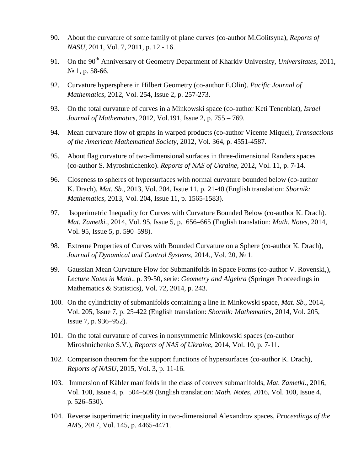- 90. About the curvature of some family of plane curves (co-author M.Golitsyna), *Reports of NASU*, 2011, Vol. 7, 2011, p. 12 - 16.
- 91. On the 90th Anniversary of Geometry Department of Kharkiv University, *Universitates*, 2011, № 1, p. 58-66.
- 92. Curvature hypersphere in Hilbert Geometry (co-author E.Olin). *Pacific Journal of Mathematics*, 2012, Vol. 254, Issue 2, p. 257-273.
- 93. On the total curvature of curves in a Minkowski space (co-author Keti Tenenblat), *Israel Journal of Mathematics*, 2012, Vol.191, Issue 2, p. 755 – 769.
- 94. Mean curvature flow of graphs in warped products (co-author Vicente Miquel), *Transactions of the American Mathematical Society*, 2012, Vol. 364, p. 4551-4587.
- 95. About flag curvature of two-dimensional surfaces in three-dimensional Randers spaces (co-author S. Myroshnichenko). *Reports of NAS of Ukraine*, 2012, Vol. 11, p. 7-14.
- 96. Closeness to spheres of hypersurfaces with normal curvature bounded below (co-author K. Drach), *Mat. Sb.*, 2013, Vol. 204, Issue 11, p. 21-40 (English translation: *Sbornik: Mathematics*, 2013, Vol. 204, Issue 11, p. 1565-1583).
- 97. Isoperimetric Inequality for Curves with Curvature Bounded Below (co-author K. Drach). *Mat. Zametki.*, 2014, Vol. 95, Issue 5, p. 656–665 (English translation: *Math. Notes*, 2014, Vol. 95, Issue 5, p. 590–598).
- 98. Extreme Properties of Curves with Bounded Curvature on a Sphere (co-author K. Drach), *Journal of Dynamical and Control Systems,* 2014., Vol. 20, № 1.
- 99. Gaussian Mean Curvature Flow for Submanifolds in Space Forms (co-author V. Rovenski,), *Lecture Notes in Math*., p. 39-50, serie: *Geometry and Algebra* (Springer Proceedings in Mathematics & Statistics), Vol. 72, 2014, p. 243.
- 100. On the cylindricity of submanifolds containing a line in Minkowski space, *Mat. Sb.*, 2014, Vol. 205, Issue 7, p. 25-422 (English translation: *Sbornik: Mathematics*, 2014, Vol. 205, Issue 7, p. 936–952).
- 101. On the total curvature of curves in nonsymmetric Minkowski spaces (co-author Miroshnichenko S.V.), *Reports of NAS of Ukraine*, 2014, Vol. 10, p. 7-11.
- 102. Comparison theorem for the support functions of hypersurfaces (co-author K. Drach), *Reports of NASU*, 2015, Vol. 3, p. 11-16.
- 103. Immersion of Kähler manifolds in the class of convex submanifolds, *Mat. Zametki.*, 2016, Vol. 100, Issue 4, p. 504–509 (English translation: *Math. Notes*, 2016, Vol. 100, Issue 4, p. 526–530).
- 104. Reverse isoperimetric inequality in two-dimensional Alexandrov spaces*, Proceedings of the AMS*, 2017, Vol. 145, p. 4465-4471.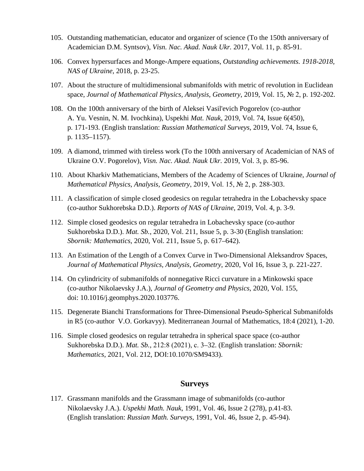- 105. Outstanding mathematician, educator and organizer of science (To the 150th anniversary of Academician D.M. Syntsov), *Visn. Nac. Akad. Nauk Ukr.* 2017, Vol. 11, p. 85-91.
- 106. Convex hypersurfaces and Monge-Ampere equations, *Outstanding achievements. 1918-2018, NAS of Ukraine*, 2018, p. 23-25.
- 107. About the structure of multidimensional submanifolds with metric of revolution in Euclidean space, *Journal of Mathematical Physics, Analysis, Geometry*, 2019, Vol. 15, № 2, p. 192-202.
- 108. On the 100th anniversary of the birth of Aleksei Vasil'evich Pogorelov (co-author A. Yu. Vesnin, N. M. Ivochkina), Uspekhi *Mat. Nauk*, 2019, Vol. 74, Issue 6(450), p. 171-193. (English translation: *Russian Mathematical Surveys*, 2019, Vol. 74, Issue 6, p. 1135–1157).
- 109. A diamond, trimmed with tireless work (To the 100th anniversary of Academician of NAS of Ukraine O.V. Pogorelov), *Visn. Nac. Akad. Nauk Ukr.* 2019, Vol. 3, p. 85-96.
- 110. About Kharkiv Mathematicians, Members of the Academy of Sciences of Ukraine, *Journal of Mathematical Physics, Analysis, Geometry*, 2019, Vol. 15, № 2, p. 288-303.
- 111. A classification of simple closed geodesics on regular tetrahedra in the Lobachevsky space (co-author Sukhorebska D.D.). *Reports of NAS of Ukraine*, 2019, Vol. 4, p. 3-9.
- 112. Simple closed geodesics on regular tetrahedra in Lobachevsky space (co-author Sukhorebska D.D.). *Mat. Sb.*, 2020, Vol. 211, Issue 5, p. 3-30 (English translation: *Sbornik: Mathematics*, 2020, Vol. 211, Issue 5, p. 617–642).
- 113. An Estimation of the Length of a Convex Curve in Two-Dimensional Aleksandrov Spaces, *Journal of Mathematical Physics, Analysis, Geometry*, 2020, Vol 16, Issue 3, p. 221-227.
- 114. On cylindricity of submanifolds of nonnegative Ricci curvature in a Minkowski space (co-author Nikolaevsky J.A.), *Journal of Geometry and Physics*, 2020, Vol. 155, doi: 10.1016/j.geomphys.2020.103776.
- 115. Degenerate Bianchi Transformations for Three-Dimensional Pseudo-Spherical Submanifolds in R5 (co-author V.O. Gorkavyy). Mediterranean Journal of Mathematics, 18:4 (2021), 1-20.
- 116. Simple closed geodesics on regular tetrahedra in spherical space space (co-author Sukhorebska D.D.). *Mat. Sb.*, 212:8 (2021), с. 3–32. (English translation: *Sbornik: Mathematics*, 2021, Vol. 212, DOI:10.1070/SM9433).

### **Surveys**

117. Grassmann manifolds and the Grassmann image of submanifolds (co-author Nikolaevsky J.A.). *Uspekhi Math. Nauk*, 1991, Vol. 46, Issue 2 (278), p.41-83. (English translation: *Russian Math. Surveys*, 1991, Vol. 46, Issue 2, p. 45-94).